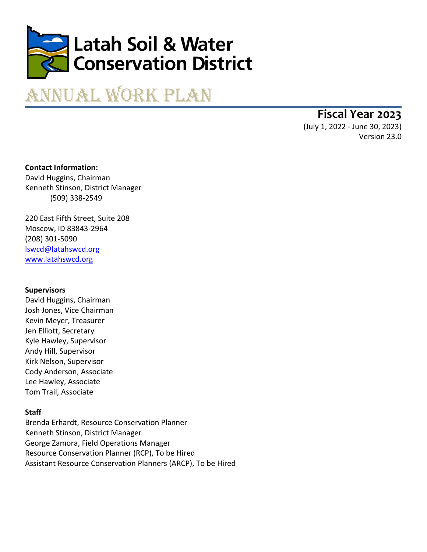

# Annual Work Plan

**Fiscal Year 2023**

(July 1, 2022 - June 30, 2023) Version 23.0

**Contact Information:** David Huggins, Chairman Kenneth Stinson, District Manager (509) 338-2549

220 East Fifth Street, Suite 208 Moscow, ID 83843-2964 (208) 301-5090 [lswcd@latahswcd.org](mailto:lswcd@latahswcd.org) www.latahswcd.org

# **Supervisors**

David Huggins, Chairman Josh Jones, Vice Chairman Kevin Meyer, Treasurer Jen Elliott, Secretary Kyle Hawley, Supervisor Andy Hill, Supervisor Kirk Nelson, Supervisor Cody Anderson, Associate Lee Hawley, Associate Tom Trail, Associate

# **Staff**

Brenda Erhardt, Resource Conservation Planner Kenneth Stinson, District Manager George Zamora, Field Operations Manager Resource Conservation Planner (RCP), To be Hired Assistant Resource Conservation Planners (ARCP), To be Hired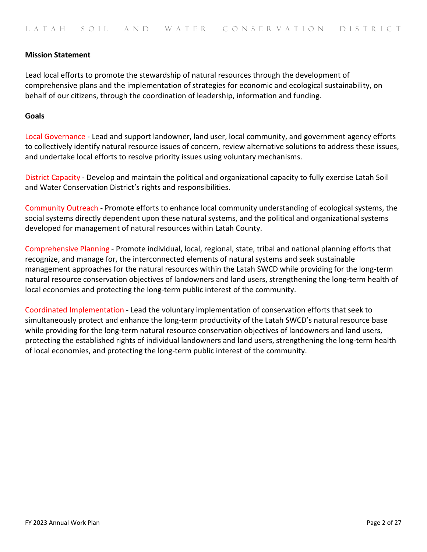## **Mission Statement**

Lead local efforts to promote the stewardship of natural resources through the development of comprehensive plans and the implementation of strategies for economic and ecological sustainability, on behalf of our citizens, through the coordination of leadership, information and funding.

#### **Goals**

Local Governance - Lead and support landowner, land user, local community, and government agency efforts to collectively identify natural resource issues of concern, review alternative solutions to address these issues, and undertake local efforts to resolve priority issues using voluntary mechanisms.

District Capacity - Develop and maintain the political and organizational capacity to fully exercise Latah Soil and Water Conservation District's rights and responsibilities.

Community Outreach - Promote efforts to enhance local community understanding of ecological systems, the social systems directly dependent upon these natural systems, and the political and organizational systems developed for management of natural resources within Latah County.

Comprehensive Planning - Promote individual, local, regional, state, tribal and national planning efforts that recognize, and manage for, the interconnected elements of natural systems and seek sustainable management approaches for the natural resources within the Latah SWCD while providing for the long-term natural resource conservation objectives of landowners and land users, strengthening the long-term health of local economies and protecting the long-term public interest of the community.

Coordinated Implementation - Lead the voluntary implementation of conservation efforts that seek to simultaneously protect and enhance the long-term productivity of the Latah SWCD's natural resource base while providing for the long-term natural resource conservation objectives of landowners and land users, protecting the established rights of individual landowners and land users, strengthening the long-term health of local economies, and protecting the long-term public interest of the community.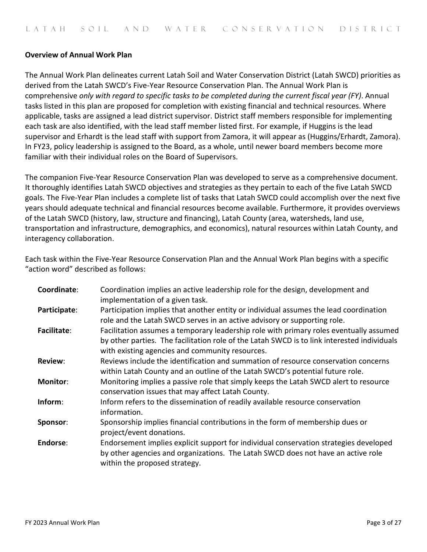## **Overview of Annual Work Plan**

The Annual Work Plan delineates current Latah Soil and Water Conservation District (Latah SWCD) priorities as derived from the Latah SWCD's Five-Year Resource Conservation Plan. The Annual Work Plan is comprehensive *only with regard to specific tasks to be completed during the current fiscal year (FY)*. Annual tasks listed in this plan are proposed for completion with existing financial and technical resources. Where applicable, tasks are assigned a lead district supervisor. District staff members responsible for implementing each task are also identified, with the lead staff member listed first. For example, if Huggins is the lead supervisor and Erhardt is the lead staff with support from Zamora, it will appear as (Huggins/Erhardt, Zamora). In FY23, policy leadership is assigned to the Board, as a whole, until newer board members become more familiar with their individual roles on the Board of Supervisors.

The companion Five-Year Resource Conservation Plan was developed to serve as a comprehensive document. It thoroughly identifies Latah SWCD objectives and strategies as they pertain to each of the five Latah SWCD goals. The Five-Year Plan includes a complete list of tasks that Latah SWCD could accomplish over the next five years should adequate technical and financial resources become available. Furthermore, it provides overviews of the Latah SWCD (history, law, structure and financing), Latah County (area, watersheds, land use, transportation and infrastructure, demographics, and economics), natural resources within Latah County, and interagency collaboration.

Each task within the Five-Year Resource Conservation Plan and the Annual Work Plan begins with a specific "action word" described as follows:

| Coordinate:     | Coordination implies an active leadership role for the design, development and<br>implementation of a given task.                                                                                                                        |  |
|-----------------|------------------------------------------------------------------------------------------------------------------------------------------------------------------------------------------------------------------------------------------|--|
| Participate:    | Participation implies that another entity or individual assumes the lead coordination<br>role and the Latah SWCD serves in an active advisory or supporting role.                                                                        |  |
| Facilitate:     | Facilitation assumes a temporary leadership role with primary roles eventually assumed<br>by other parties. The facilitation role of the Latah SWCD is to link interested individuals<br>with existing agencies and community resources. |  |
| <b>Review:</b>  | Reviews include the identification and summation of resource conservation concerns<br>within Latah County and an outline of the Latah SWCD's potential future role.                                                                      |  |
| <b>Monitor:</b> | Monitoring implies a passive role that simply keeps the Latah SWCD alert to resource<br>conservation issues that may affect Latah County.                                                                                                |  |
| Inform:         | Inform refers to the dissemination of readily available resource conservation<br>information.                                                                                                                                            |  |
| Sponsor:        | Sponsorship implies financial contributions in the form of membership dues or<br>project/event donations.                                                                                                                                |  |
| Endorse:        | Endorsement implies explicit support for individual conservation strategies developed<br>by other agencies and organizations. The Latah SWCD does not have an active role<br>within the proposed strategy.                               |  |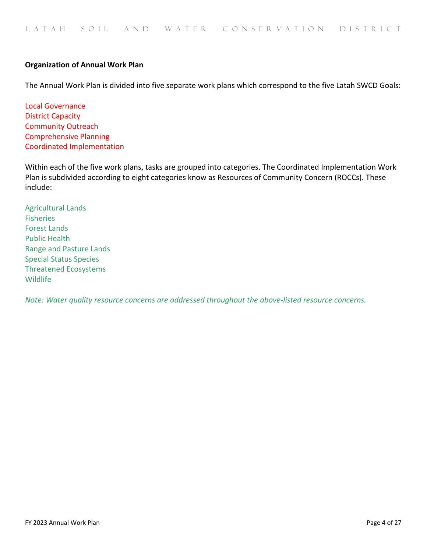## **Organization of Annual Work Plan**

The Annual Work Plan is divided into five separate work plans which correspond to the five Latah SWCD Goals:

Local Governance District Capacity Community Outreach Comprehensive Planning Coordinated Implementation

Within each of the five work plans, tasks are grouped into categories. The Coordinated Implementation Work Plan is subdivided according to eight categories know as Resources of Community Concern (ROCCs). These include:

Agricultural Lands Fisheries Forest Lands Public Health Range and Pasture Lands Special Status Species Threatened Ecosystems Wildlife

*Note: Water quality resource concerns are addressed throughout the above-listed resource concerns.*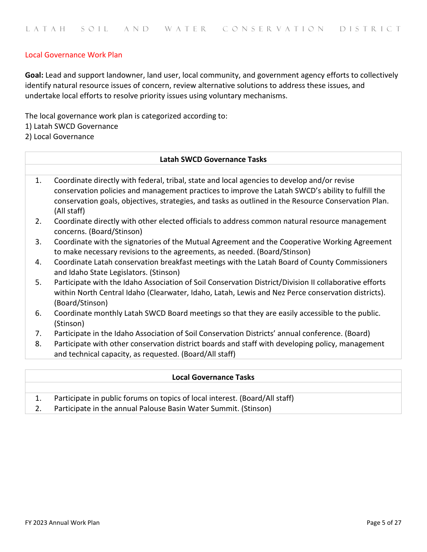## Local Governance Work Plan

**Goal:** Lead and support landowner, land user, local community, and government agency efforts to collectively identify natural resource issues of concern, review alternative solutions to address these issues, and undertake local efforts to resolve priority issues using voluntary mechanisms.

The local governance work plan is categorized according to:

1) Latah SWCD Governance

2) Local Governance

# **Latah SWCD Governance Tasks**

- 1. Coordinate directly with federal, tribal, state and local agencies to develop and/or revise conservation policies and management practices to improve the Latah SWCD's ability to fulfill the conservation goals, objectives, strategies, and tasks as outlined in the Resource Conservation Plan. (All staff)
- 2. Coordinate directly with other elected officials to address common natural resource management concerns. (Board/Stinson)
- 3. Coordinate with the signatories of the Mutual Agreement and the Cooperative Working Agreement to make necessary revisions to the agreements, as needed. (Board/Stinson)
- 4. Coordinate Latah conservation breakfast meetings with the Latah Board of County Commissioners and Idaho State Legislators. (Stinson)
- 5. Participate with the Idaho Association of Soil Conservation District/Division II collaborative efforts within North Central Idaho (Clearwater, Idaho, Latah, Lewis and Nez Perce conservation districts). (Board/Stinson)
- 6. Coordinate monthly Latah SWCD Board meetings so that they are easily accessible to the public. (Stinson)
- 7. Participate in the Idaho Association of Soil Conservation Districts' annual conference. (Board)
- 8. Participate with other conservation district boards and staff with developing policy, management and technical capacity, as requested. (Board/All staff)

#### **Local Governance Tasks**

- 1. Participate in public forums on topics of local interest. (Board/All staff)
- 2. Participate in the annual Palouse Basin Water Summit. (Stinson)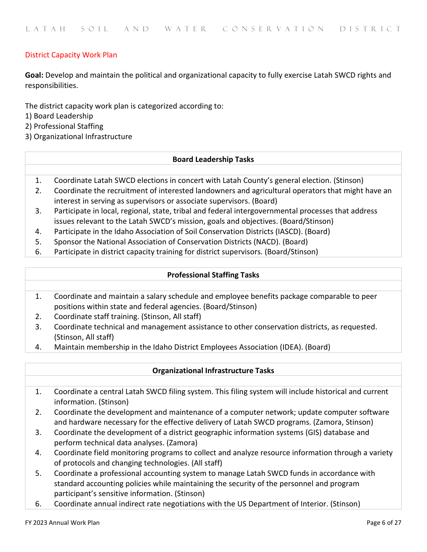# District Capacity Work Plan

**Goal:** Develop and maintain the political and organizational capacity to fully exercise Latah SWCD rights and responsibilities.

The district capacity work plan is categorized according to:

- 1) Board Leadership
- 2) Professional Staffing
- 3) Organizational Infrastructure

## **Board Leadership Tasks**

- 1. Coordinate Latah SWCD elections in concert with Latah County's general election. (Stinson)
- 2. Coordinate the recruitment of interested landowners and agricultural operators that might have an interest in serving as supervisors or associate supervisors. (Board)
- 3. Participate in local, regional, state, tribal and federal intergovernmental processes that address issues relevant to the Latah SWCD's mission, goals and objectives. (Board/Stinson)
- 4. Participate in the Idaho Association of Soil Conservation Districts (IASCD). (Board)
- 5. Sponsor the National Association of Conservation Districts (NACD). (Board)
- 6. Participate in district capacity training for district supervisors. (Board/Stinson)

## **Professional Staffing Tasks**

- 1. Coordinate and maintain a salary schedule and employee benefits package comparable to peer positions within state and federal agencies. (Board/Stinson)
- 2. Coordinate staff training. (Stinson, All staff)
- 3. Coordinate technical and management assistance to other conservation districts, as requested. (Stinson, All staff)
- 4. Maintain membership in the Idaho District Employees Association (IDEA). (Board)

#### **Organizational Infrastructure Tasks**

- 1. Coordinate a central Latah SWCD filing system. This filing system will include historical and current information. (Stinson)
- 2. Coordinate the development and maintenance of a computer network; update computer software and hardware necessary for the effective delivery of Latah SWCD programs. (Zamora, Stinson)
- 3. Coordinate the development of a district geographic information systems (GIS) database and perform technical data analyses. (Zamora)
- 4. Coordinate field monitoring programs to collect and analyze resource information through a variety of protocols and changing technologies. (All staff)
- 5. Coordinate a professional accounting system to manage Latah SWCD funds in accordance with standard accounting policies while maintaining the security of the personnel and program participant's sensitive information. (Stinson)
- 6. Coordinate annual indirect rate negotiations with the US Department of Interior. (Stinson)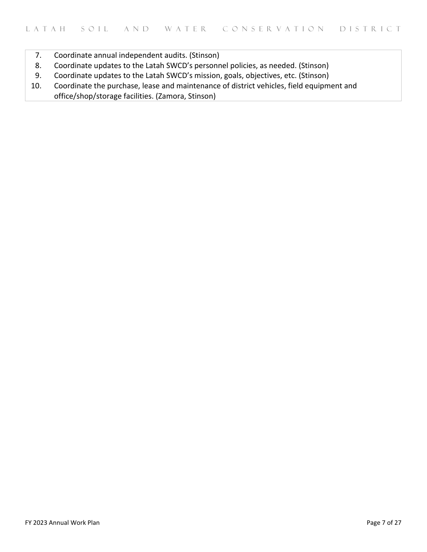- 7. Coordinate annual independent audits. (Stinson)
- 8. Coordinate updates to the Latah SWCD's personnel policies, as needed. (Stinson)
- 9. Coordinate updates to the Latah SWCD's mission, goals, objectives, etc. (Stinson)
- 10. Coordinate the purchase, lease and maintenance of district vehicles, field equipment and office/shop/storage facilities. (Zamora, Stinson)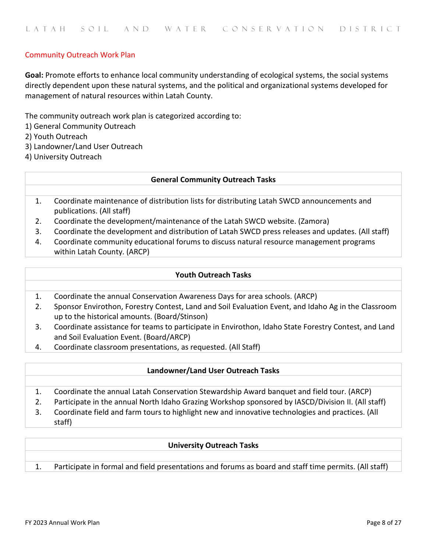# Community Outreach Work Plan

**Goal:** Promote efforts to enhance local community understanding of ecological systems, the social systems directly dependent upon these natural systems, and the political and organizational systems developed for management of natural resources within Latah County.

The community outreach work plan is categorized according to:

1) General Community Outreach

2) Youth Outreach

- 3) Landowner/Land User Outreach
- 4) University Outreach

## **General Community Outreach Tasks**

- 1. Coordinate maintenance of distribution lists for distributing Latah SWCD announcements and publications. (All staff)
- 2. Coordinate the development/maintenance of the Latah SWCD website. (Zamora)
- 3. Coordinate the development and distribution of Latah SWCD press releases and updates. (All staff)
- 4. Coordinate community educational forums to discuss natural resource management programs within Latah County. (ARCP)

## **Youth Outreach Tasks**

- 1. Coordinate the annual Conservation Awareness Days for area schools. (ARCP)
- 2. Sponsor Envirothon, Forestry Contest, Land and Soil Evaluation Event, and Idaho Ag in the Classroom up to the historical amounts. (Board/Stinson)
- 3. Coordinate assistance for teams to participate in Envirothon, Idaho State Forestry Contest, and Land and Soil Evaluation Event. (Board/ARCP)
- 4. Coordinate classroom presentations, as requested. (All Staff)

#### **Landowner/Land User Outreach Tasks**

- 1. Coordinate the annual Latah Conservation Stewardship Award banquet and field tour. (ARCP)
- 2. Participate in the annual North Idaho Grazing Workshop sponsored by IASCD/Division II. (All staff)
- 3. Coordinate field and farm tours to highlight new and innovative technologies and practices. (All staff)

#### **University Outreach Tasks**

1. Participate in formal and field presentations and forums as board and staff time permits. (All staff)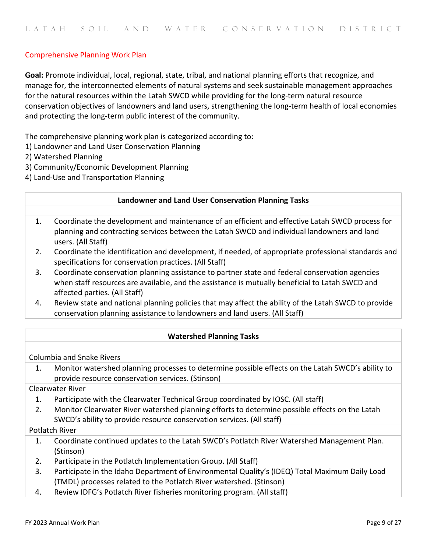# Comprehensive Planning Work Plan

**Goal:** Promote individual, local, regional, state, tribal, and national planning efforts that recognize, and manage for, the interconnected elements of natural systems and seek sustainable management approaches for the natural resources within the Latah SWCD while providing for the long-term natural resource conservation objectives of landowners and land users, strengthening the long-term health of local economies and protecting the long-term public interest of the community.

The comprehensive planning work plan is categorized according to:

- 1) Landowner and Land User Conservation Planning
- 2) Watershed Planning
- 3) Community/Economic Development Planning
- 4) Land-Use and Transportation Planning

#### **Landowner and Land User Conservation Planning Tasks**

- 1. Coordinate the development and maintenance of an efficient and effective Latah SWCD process for planning and contracting services between the Latah SWCD and individual landowners and land users. (All Staff)
- 2. Coordinate the identification and development, if needed, of appropriate professional standards and specifications for conservation practices. (All Staff)
- 3. Coordinate conservation planning assistance to partner state and federal conservation agencies when staff resources are available, and the assistance is mutually beneficial to Latah SWCD and affected parties. (All Staff)
- 4. Review state and national planning policies that may affect the ability of the Latah SWCD to provide conservation planning assistance to landowners and land users. (All Staff)

#### **Watershed Planning Tasks**

Columbia and Snake Rivers

1. Monitor watershed planning processes to determine possible effects on the Latah SWCD's ability to provide resource conservation services. (Stinson)

Clearwater River

- 1. Participate with the Clearwater Technical Group coordinated by IOSC. (All staff)
- 2. Monitor Clearwater River watershed planning efforts to determine possible effects on the Latah SWCD's ability to provide resource conservation services. (All staff)

#### Potlatch River

- 1. Coordinate continued updates to the Latah SWCD's Potlatch River Watershed Management Plan. (Stinson)
- 2. Participate in the Potlatch Implementation Group. (All Staff)
- 3. Participate in the Idaho Department of Environmental Quality's (IDEQ) Total Maximum Daily Load (TMDL) processes related to the Potlatch River watershed. (Stinson)
- 4. Review IDFG's Potlatch River fisheries monitoring program. (All staff)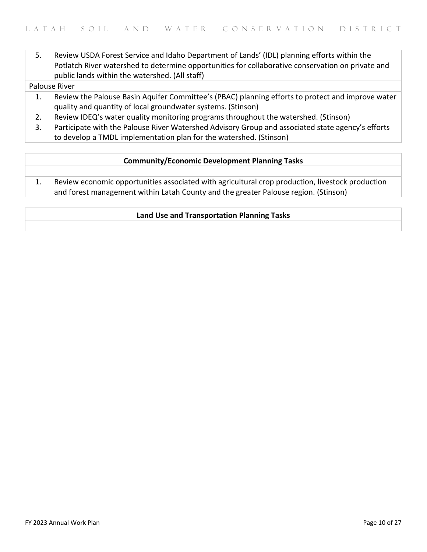5. Review USDA Forest Service and Idaho Department of Lands' (IDL) planning efforts within the Potlatch River watershed to determine opportunities for collaborative conservation on private and public lands within the watershed. (All staff)

Palouse River

- 1. Review the Palouse Basin Aquifer Committee's [\(PBAC\)](http://www.webs.uidaho.edu/pbac/) planning efforts to protect and improve water quality and quantity of local groundwater systems. (Stinson)
- 2. Review IDEQ's water quality monitoring programs throughout the watershed. (Stinson)
- 3. Participate with the Palouse River Watershed Advisory Group and associated state agency's efforts to develop a TMDL implementation plan for the watershed. (Stinson)

## **Community/Economic Development Planning Tasks**

1. Review economic opportunities associated with agricultural crop production, livestock production and forest management within Latah County and the greater Palouse region. (Stinson)

## **Land Use and Transportation Planning Tasks**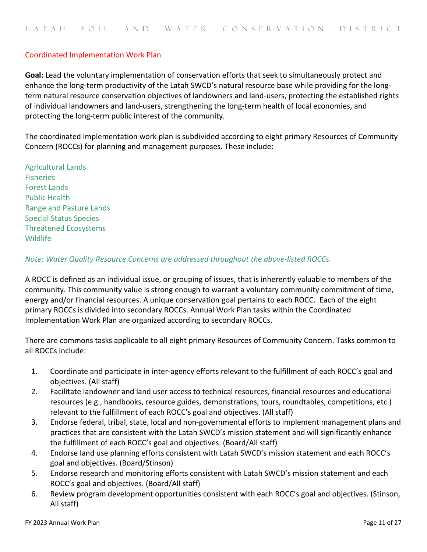## Coordinated Implementation Work Plan

**Goal:** Lead the voluntary implementation of conservation efforts that seek to simultaneously protect and enhance the long-term productivity of the Latah SWCD's natural resource base while providing for the longterm natural resource conservation objectives of landowners and land-users, protecting the established rights of individual landowners and land-users, strengthening the long-term health of local economies, and protecting the long-term public interest of the community.

The coordinated implementation work plan is subdivided according to eight primary Resources of Community Concern (ROCCs) for planning and management purposes. These include:

Agricultural Lands Fisheries Forest Lands Public Health Range and Pasture Lands Special Status Species Threatened Ecosystems **Wildlife** 

*Note: Water Quality Resource Concerns are addressed throughout the above-listed ROCCs.*

A ROCC is defined as an individual issue, or grouping of issues, that is inherently valuable to members of the community. This community value is strong enough to warrant a voluntary community commitment of time, energy and/or financial resources. A unique conservation goal pertains to each ROCC. Each of the eight primary ROCCs is divided into secondary ROCCs. Annual Work Plan tasks within the Coordinated Implementation Work Plan are organized according to secondary ROCCs.

There are commons tasks applicable to all eight primary Resources of Community Concern. Tasks common to all ROCCs include:

- 1. Coordinate and participate in inter-agency efforts relevant to the fulfillment of each ROCC's goal and objectives. (All staff)
- 2. Facilitate landowner and land user access to technical resources, financial resources and educational resources (e.g., handbooks, resource guides, demonstrations, tours, roundtables, competitions, etc.) relevant to the fulfillment of each ROCC's goal and objectives. (All staff)
- 3. Endorse federal, tribal, state, local and non-governmental efforts to implement management plans and practices that are consistent with the Latah SWCD's mission statement and will significantly enhance the fulfillment of each ROCC's goal and objectives. (Board/All staff)
- 4. Endorse land use planning efforts consistent with Latah SWCD's mission statement and each ROCC's goal and objectives. (Board/Stinson)
- 5. Endorse research and monitoring efforts consistent with Latah SWCD's mission statement and each ROCC's goal and objectives. (Board/All staff)
- 6. Review program development opportunities consistent with each ROCC's goal and objectives. (Stinson, All staff)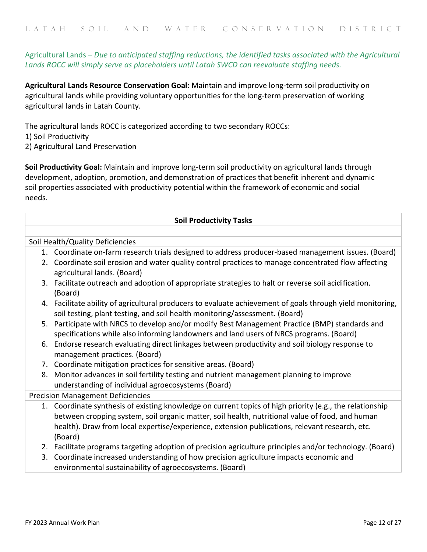# Agricultural Lands – *Due to anticipated staffing reductions, the identified tasks associated with the Agricultural Lands ROCC will simply serve as placeholders until Latah SWCD can reevaluate staffing needs.*

**Agricultural Lands Resource Conservation Goal:** Maintain and improve long-term soil productivity on agricultural lands while providing voluntary opportunities for the long-term preservation of working agricultural lands in Latah County.

The agricultural lands ROCC is categorized according to two secondary ROCCs: 1) Soil Productivity

2) Agricultural Land Preservation

**Soil Productivity Goal:** Maintain and improve long-term soil productivity on agricultural lands through development, adoption, promotion, and demonstration of practices that benefit inherent and dynamic soil properties associated with productivity potential within the framework of economic and social needs.

#### **Soil Productivity Tasks**

Soil Health/Quality Deficiencies

- 1. Coordinate on-farm research trials designed to address producer-based management issues. (Board)
- 2. Coordinate soil erosion and water quality control practices to manage concentrated flow affecting agricultural lands. (Board)
- 3. Facilitate outreach and adoption of appropriate strategies to halt or reverse soil acidification. (Board)
- 4. Facilitate ability of agricultural producers to evaluate achievement of goals through yield monitoring, soil testing, plant testing, and soil health monitoring/assessment. (Board)
- 5. Participate with NRCS to develop and/or modify Best Management Practice (BMP) standards and specifications while also informing landowners and land users of NRCS programs. (Board)
- 6. Endorse research evaluating direct linkages between productivity and soil biology response to management practices. (Board)
- 7. Coordinate mitigation practices for sensitive areas. (Board)
- 8. Monitor advances in soil fertility testing and nutrient management planning to improve understanding of individual agroecosystems (Board)

# Precision Management Deficiencies

- 1. Coordinate synthesis of existing knowledge on current topics of high priority (e.g., the relationship between cropping system, soil organic matter, soil health, nutritional value of food, and human health). Draw from local expertise/experience, extension publications, relevant research, etc. (Board)
- 2. Facilitate programs targeting adoption of precision agriculture principles and/or technology. (Board)
- 3. Coordinate increased understanding of how precision agriculture impacts economic and environmental sustainability of agroecosystems. (Board)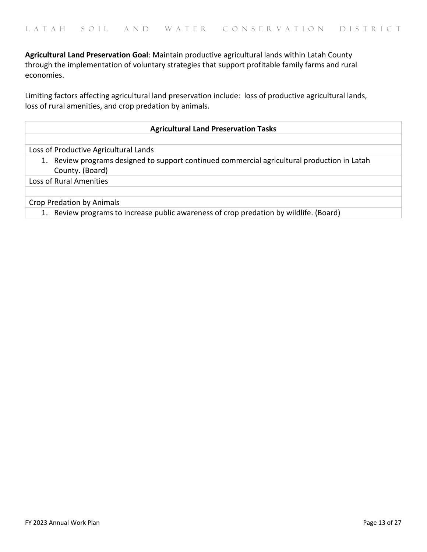**Agricultural Land Preservation Goal**: Maintain productive agricultural lands within Latah County through the implementation of voluntary strategies that support profitable family farms and rural economies.

Limiting factors affecting agricultural land preservation include: loss of productive agricultural lands, loss of rural amenities, and crop predation by animals.

## **Agricultural Land Preservation Tasks**

Loss of Productive Agricultural Lands

1. Review programs designed to support continued commercial agricultural production in Latah County. (Board)

Loss of Rural Amenities

Crop Predation by Animals

1. Review programs to increase public awareness of crop predation by wildlife. (Board)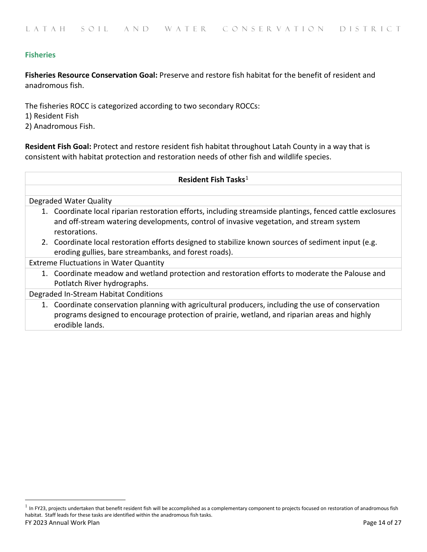# **Fisheries**

**Fisheries Resource Conservation Goal:** Preserve and restore fish habitat for the benefit of resident and anadromous fish.

The fisheries ROCC is categorized according to two secondary ROCCs: 1) Resident Fish 2) Anadromous Fish.

**Resident Fish Goal:** Protect and restore resident fish habitat throughout Latah County in a way that is consistent with habitat protection and restoration needs of other fish and wildlife species.

#### **Resident Fish Tasks**[1](#page-13-0)

Degraded Water Quality

- 1. Coordinate local riparian restoration efforts, including streamside plantings, fenced cattle exclosures and off-stream watering developments, control of invasive vegetation, and stream system restorations.
- 2. Coordinate local restoration efforts designed to stabilize known sources of sediment input (e.g. eroding gullies, bare streambanks, and forest roads).

Extreme Fluctuations in Water Quantity

1. Coordinate meadow and wetland protection and restoration efforts to moderate the Palouse and Potlatch River hydrographs.

Degraded In-Stream Habitat Conditions

1. Coordinate conservation planning with agricultural producers, including the use of conservation programs designed to encourage protection of prairie, wetland, and riparian areas and highly erodible lands.

<span id="page-13-0"></span>FY 2023 Annual Work Plan Page 14 of 27  $<sup>1</sup>$  In FY23, projects undertaken that benefit resident fish will be accomplished as a complementary component to projects focused on restoration of anadromous fish</sup> habitat. Staff leads for these tasks are identified within the anadromous fish tasks.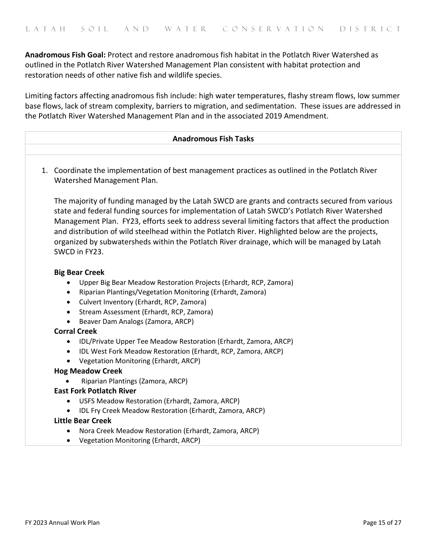**Anadromous Fish Goal:** Protect and restore anadromous fish habitat in the Potlatch River Watershed as outlined in the Potlatch River Watershed Management Plan consistent with habitat protection and restoration needs of other native fish and wildlife species.

Limiting factors affecting anadromous fish include: high water temperatures, flashy stream flows, low summer base flows, lack of stream complexity, barriers to migration, and sedimentation. These issues are addressed in the Potlatch River Watershed Management Plan and in the associated 2019 Amendment.

#### **Anadromous Fish Tasks**

1. Coordinate the implementation of best management practices as outlined in the Potlatch River Watershed Management Plan.

The majority of funding managed by the Latah SWCD are grants and contracts secured from various state and federal funding sources for implementation of Latah SWCD's Potlatch River Watershed Management Plan. FY23, efforts seek to address several limiting factors that affect the production and distribution of wild steelhead within the Potlatch River. Highlighted below are the projects, organized by subwatersheds within the Potlatch River drainage, which will be managed by Latah SWCD in FY23.

#### **Big Bear Creek**

- Upper Big Bear Meadow Restoration Projects (Erhardt, RCP, Zamora)
- Riparian Plantings/Vegetation Monitoring (Erhardt, Zamora)
- Culvert Inventory (Erhardt, RCP, Zamora)
- Stream Assessment (Erhardt, RCP, Zamora)
- Beaver Dam Analogs (Zamora, ARCP)

#### **Corral Creek**

- IDL/Private Upper Tee Meadow Restoration (Erhardt, Zamora, ARCP)
- IDL West Fork Meadow Restoration (Erhardt, RCP, Zamora, ARCP)
- Vegetation Monitoring (Erhardt, ARCP)

#### **Hog Meadow Creek**

• Riparian Plantings (Zamora, ARCP)

#### **East Fork Potlatch River**

- USFS Meadow Restoration (Erhardt, Zamora, ARCP)
- IDL Fry Creek Meadow Restoration (Erhardt, Zamora, ARCP)

#### **Little Bear Creek**

- Nora Creek Meadow Restoration (Erhardt, Zamora, ARCP)
- Vegetation Monitoring (Erhardt, ARCP)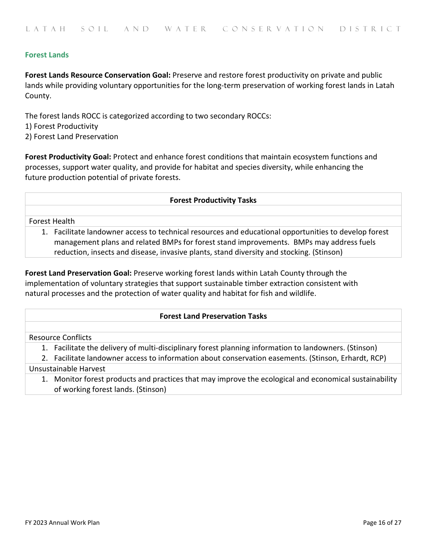## **Forest Lands**

**Forest Lands Resource Conservation Goal:** Preserve and restore forest productivity on private and public lands while providing voluntary opportunities for the long-term preservation of working forest lands in Latah County.

The forest lands ROCC is categorized according to two secondary ROCCs: 1) Forest Productivity 2) Forest Land Preservation

**Forest Productivity Goal:** Protect and enhance forest conditions that maintain ecosystem functions and processes, support water quality, and provide for habitat and species diversity, while enhancing the future production potential of private forests.

#### **Forest Productivity Tasks**

Forest Health

1. Facilitate landowner access to technical resources and educational opportunities to develop forest management plans and related BMPs for forest stand improvements. BMPs may address fuels reduction, insects and disease, invasive plants, stand diversity and stocking. (Stinson)

**Forest Land Preservation Goal:** Preserve working forest lands within Latah County through the implementation of voluntary strategies that support sustainable timber extraction consistent with natural processes and the protection of water quality and habitat for fish and wildlife.

#### **Forest Land Preservation Tasks**

Resource Conflicts

1. Facilitate the delivery of multi-disciplinary forest planning information to landowners. (Stinson)

2. Facilitate landowner access to information about conservation easements. (Stinson, Erhardt, RCP)

#### Unsustainable Harvest

1. Monitor forest products and practices that may improve the ecological and economical sustainability of working forest lands. (Stinson)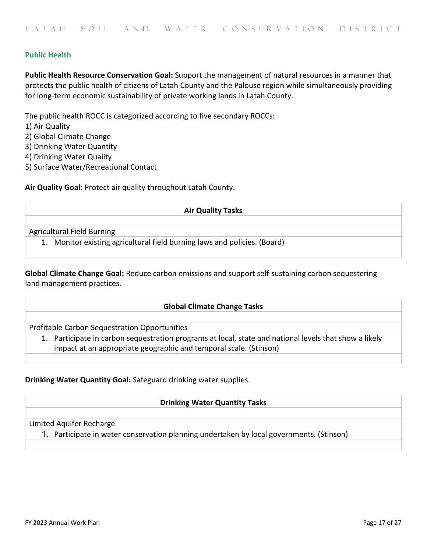# **Public Health**

**Public Health Resource Conservation Goal:** Support the management of natural resources in a manner that protects the public health of citizens of Latah County and the Palouse region while simultaneously providing for long-term economic sustainability of private working lands in Latah County.

The public health ROCC is categorized according to five secondary ROCCs:

- 1) Air Quality
- 2) Global Climate Change
- 3) Drinking Water Quantity
- 4) Drinking Water Quality
- 5) Surface Water/Recreational Contact

**Air Quality Goal:** Protect air quality throughout Latah County.

#### **Air Quality Tasks**

Agricultural Field Burning

1. Monitor existing agricultural field burning laws and policies. (Board)

**Global Climate Change Goal:** Reduce carbon emissions and support self-sustaining carbon sequestering land management practices.

#### **Global Climate Change Tasks**

Profitable Carbon Sequestration Opportunities

1. Participate in carbon sequestration programs at local, state and national levels that show a likely impact at an appropriate geographic and temporal scale. (Stinson)

#### **Drinking Water Quantity Goal:** Safeguard drinking water supplies.

#### **Drinking Water Quantity Tasks**

#### Limited Aquifer Recharge

1. Participate in water conservation planning undertaken by local governments. (Stinson)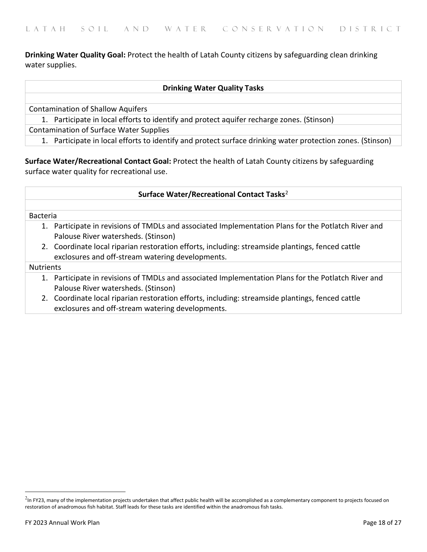**Drinking Water Quality Goal:** Protect the health of Latah County citizens by safeguarding clean drinking water supplies.

### **Drinking Water Quality Tasks**

Contamination of Shallow Aquifers

1. Participate in local efforts to identify and protect aquifer recharge zones. (Stinson)

Contamination of Surface Water Supplies

1. Participate in local efforts to identify and protect surface drinking water protection zones. (Stinson)

**Surface Water/Recreational Contact Goal:** Protect the health of Latah County citizens by safeguarding surface water quality for recreational use.

#### **Surface Water/Recreational Contact Tasks**[2](#page-17-0)

#### Bacteria

- 1. Participate in revisions of TMDLs and associated Implementation Plans for the Potlatch River and Palouse River watersheds. (Stinson)
- 2. Coordinate local riparian restoration efforts, including: streamside plantings, fenced cattle exclosures and off-stream watering developments.

#### Nutrients

- 1. Participate in revisions of TMDLs and associated Implementation Plans for the Potlatch River and Palouse River watersheds. (Stinson)
- 2. Coordinate local riparian restoration efforts, including: streamside plantings, fenced cattle exclosures and off-stream watering developments.

<span id="page-17-0"></span><sup>&</sup>lt;sup>2</sup>In FY23, many of the implementation projects undertaken that affect public health will be accomplished as a complementary component to projects focused on restoration of anadromous fish habitat. Staff leads for these tasks are identified within the anadromous fish tasks.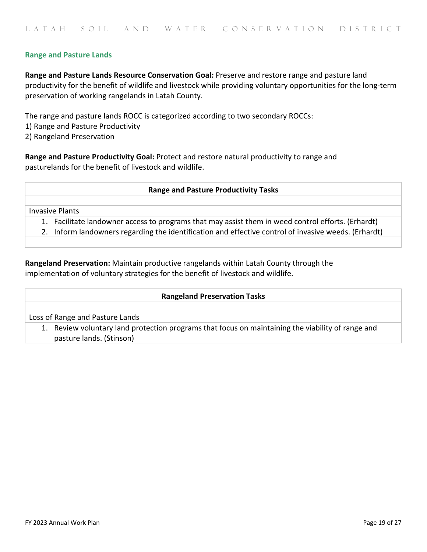## **Range and Pasture Lands**

**Range and Pasture Lands Resource Conservation Goal:** Preserve and restore range and pasture land productivity for the benefit of wildlife and livestock while providing voluntary opportunities for the long-term preservation of working rangelands in Latah County.

The range and pasture lands ROCC is categorized according to two secondary ROCCs:

- 1) Range and Pasture Productivity
- 2) Rangeland Preservation

**Range and Pasture Productivity Goal:** Protect and restore natural productivity to range and pasturelands for the benefit of livestock and wildlife.

#### **Range and Pasture Productivity Tasks**

Invasive Plants

1. Facilitate landowner access to programs that may assist them in weed control efforts. (Erhardt)

2. Inform landowners regarding the identification and effective control of invasive weeds. (Erhardt)

**Rangeland Preservation:** Maintain productive rangelands within Latah County through the implementation of voluntary strategies for the benefit of livestock and wildlife.

#### **Rangeland Preservation Tasks**

Loss of Range and Pasture Lands

1. Review voluntary land protection programs that focus on maintaining the viability of range and pasture lands. (Stinson)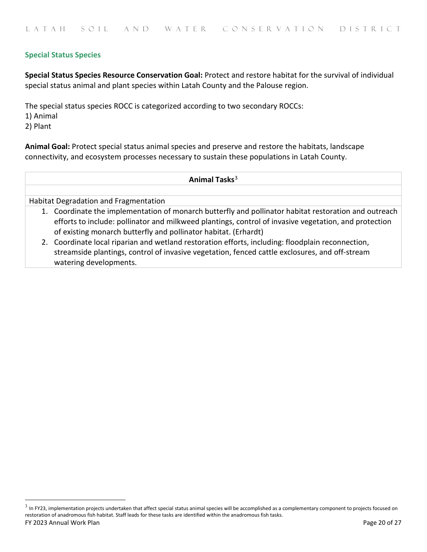# **Special Status Species**

**Special Status Species Resource Conservation Goal:** Protect and restore habitat for the survival of individual special status animal and plant species within Latah County and the Palouse region.

The special status species ROCC is categorized according to two secondary ROCCs:

1) Animal

2) Plant

**Animal Goal:** Protect special status animal species and preserve and restore the habitats, landscape connectivity, and ecosystem processes necessary to sustain these populations in Latah County.

## **Animal Tasks**[3](#page-19-0)

Habitat Degradation and Fragmentation

- 1. Coordinate the implementation of monarch butterfly and pollinator habitat restoration and outreach efforts to include: pollinator and milkweed plantings, control of invasive vegetation, and protection of existing monarch butterfly and pollinator habitat. (Erhardt)
- 2. Coordinate local riparian and wetland restoration efforts, including: floodplain reconnection, streamside plantings, control of invasive vegetation, fenced cattle exclosures, and off-stream watering developments.

<span id="page-19-0"></span>FY 2023 Annual Work Plan Page 20 of 27  $3$  In FY23, implementation projects undertaken that affect special status animal species will be accomplished as a complementary component to projects focused on restoration of anadromous fish habitat. Staff leads for these tasks are identified within the anadromous fish tasks.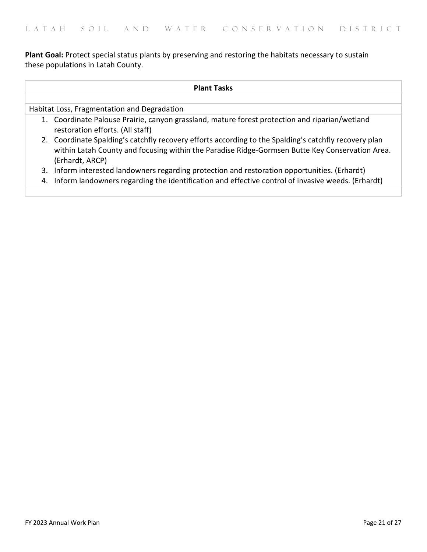**Plant Goal:** Protect special status plants by preserving and restoring the habitats necessary to sustain these populations in Latah County.

| <b>Plant Tasks</b> |                                                                                                                                                                                                                             |  |
|--------------------|-----------------------------------------------------------------------------------------------------------------------------------------------------------------------------------------------------------------------------|--|
|                    | Habitat Loss, Fragmentation and Degradation                                                                                                                                                                                 |  |
|                    | 1. Coordinate Palouse Prairie, canyon grassland, mature forest protection and riparian/wetland<br>restoration efforts. (All staff)                                                                                          |  |
|                    | 2. Coordinate Spalding's catchfly recovery efforts according to the Spalding's catchfly recovery plan<br>within Latah County and focusing within the Paradise Ridge-Gormsen Butte Key Conservation Area.<br>(Erhardt, ARCP) |  |
|                    | 3. Inform interested landowners regarding protection and restoration opportunities. (Erhardt)                                                                                                                               |  |
|                    | 4. Inform landowners regarding the identification and effective control of invasive weeds. (Erhardt)                                                                                                                        |  |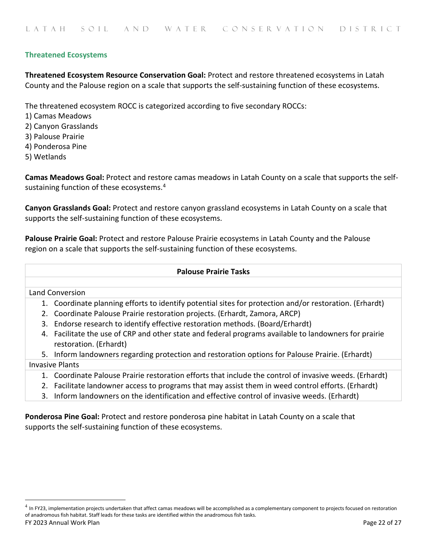# **Threatened Ecosystems**

**Threatened Ecosystem Resource Conservation Goal:** Protect and restore threatened ecosystems in Latah County and the Palouse region on a scale that supports the self-sustaining function of these ecosystems.

The threatened ecosystem ROCC is categorized according to five secondary ROCCs:

- 1) Camas Meadows
- 2) Canyon Grasslands
- 3) Palouse Prairie
- 4) Ponderosa Pine
- 5) Wetlands

**Camas Meadows Goal:** Protect and restore camas meadows in Latah County on a scale that supports the self-sustaining function of these ecosystems.<sup>[4](#page-21-0)</sup>

**Canyon Grasslands Goal:** Protect and restore canyon grassland ecosystems in Latah County on a scale that supports the self-sustaining function of these ecosystems.

**Palouse Prairie Goal:** Protect and restore Palouse Prairie ecosystems in Latah County and the Palouse region on a scale that supports the self-sustaining function of these ecosystems.

## **Palouse Prairie Tasks**

#### Land Conversion

- 1. Coordinate planning efforts to identify potential sites for protection and/or restoration. (Erhardt)
- 2. Coordinate Palouse Prairie restoration projects. (Erhardt, Zamora, ARCP)
- 3. Endorse research to identify effective restoration methods. (Board/Erhardt)
- 4. Facilitate the use of CRP and other state and federal programs available to landowners for prairie restoration. (Erhardt)
- 5. Inform landowners regarding protection and restoration options for Palouse Prairie. (Erhardt) Invasive Plants
	- 1. Coordinate Palouse Prairie restoration efforts that include the control of invasive weeds. (Erhardt)
	- 2. Facilitate landowner access to programs that may assist them in weed control efforts. (Erhardt)
	- 3. Inform landowners on the identification and effective control of invasive weeds. (Erhardt)

**Ponderosa Pine Goal:** Protect and restore ponderosa pine habitat in Latah County on a scale that supports the self-sustaining function of these ecosystems.

<span id="page-21-0"></span>FY 2023 Annual Work Plan Page 22 of 27  $4$  In FY23, implementation projects undertaken that affect camas meadows will be accomplished as a complementary component to projects focused on restoration of anadromous fish habitat. Staff leads for these tasks are identified within the anadromous fish tasks.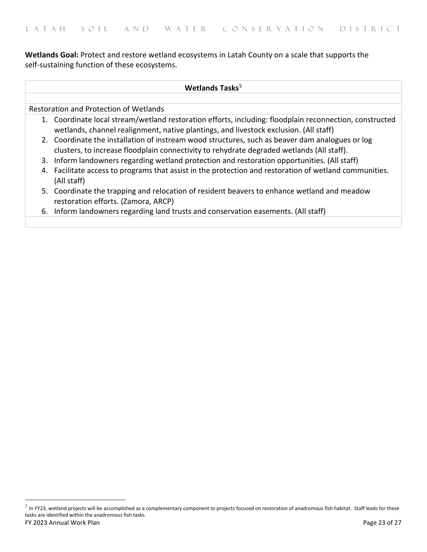**Wetlands Goal:** Protect and restore wetland ecosystems in Latah County on a scale that supports the self-sustaining function of these ecosystems.

### Wetlands Tasks<sup>[5](#page-22-0)</sup>

Restoration and Protection of Wetlands

- 1. Coordinate local stream/wetland restoration efforts, including: floodplain reconnection, constructed wetlands, channel realignment, native plantings, and livestock exclusion. (All staff)
- 2. Coordinate the installation of instream wood structures, such as beaver dam analogues or log clusters, to increase floodplain connectivity to rehydrate degraded wetlands (All staff).
- 3. Inform landowners regarding wetland protection and restoration opportunities. (All staff)
- 4. Facilitate access to programs that assist in the protection and restoration of wetland communities. (All staff)
- 5. Coordinate the trapping and relocation of resident beavers to enhance wetland and meadow restoration efforts. (Zamora, ARCP)
- 6. Inform landowners regarding land trusts and conservation easements. (All staff)

<span id="page-22-0"></span>FY 2023 Annual Work Plan Page 23 of 27  $5$  In FY23, wetland projects will be accomplished as a complementary component to projects focused on restoration of anadromous fish habitat. Staff leads for these tasks are identified within the anadromous fish tasks.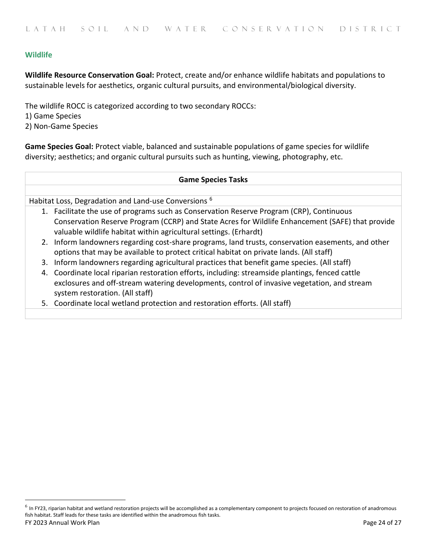# **Wildlife**

**Wildlife Resource Conservation Goal:** Protect, create and/or enhance wildlife habitats and populations to sustainable levels for aesthetics, organic cultural pursuits, and environmental/biological diversity.

The wildlife ROCC is categorized according to two secondary ROCCs: 1) Game Species 2) Non-Game Species

**Game Species Goal:** Protect viable, balanced and sustainable populations of game species for wildlife diversity; aesthetics; and organic cultural pursuits such as hunting, viewing, photography, etc.

#### **Game Species Tasks**

Habitat Loss, Degradation and Land-use Conversions [6](#page-23-0)

- 1. Facilitate the use of programs such as Conservation Reserve Program (CRP), Continuous Conservation Reserve Program (CCRP) and State Acres for Wildlife Enhancement (SAFE) that provide valuable wildlife habitat within agricultural settings. (Erhardt)
- 2. Inform landowners regarding cost-share programs, land trusts, conservation easements, and other options that may be available to protect critical habitat on private lands. (All staff)
- 3. Inform landowners regarding agricultural practices that benefit game species. (All staff)
- 4. Coordinate local riparian restoration efforts, including: streamside plantings, fenced cattle exclosures and off-stream watering developments, control of invasive vegetation, and stream system restoration. (All staff)
- 5. Coordinate local wetland protection and restoration efforts. (All staff)

<span id="page-23-0"></span>FY 2023 Annual Work Plan Page 24 of 27  $^6$  In FY23, riparian habitat and wetland restoration projects will be accomplished as a complementary component to projects focused on restoration of anadromous fish habitat. Staff leads for these tasks are identified within the anadromous fish tasks.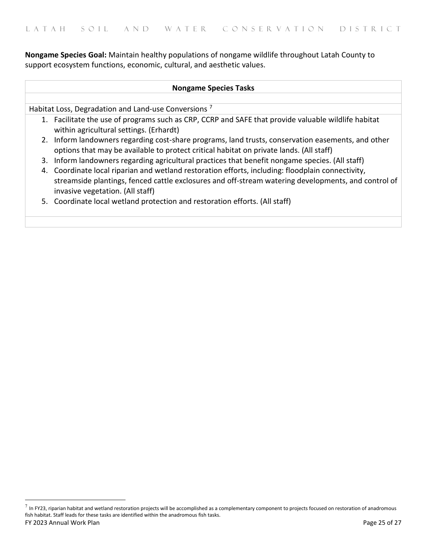**Nongame Species Goal:** Maintain healthy populations of nongame wildlife throughout Latah County to support ecosystem functions, economic, cultural, and aesthetic values.

| <b>Nongame Species Tasks</b>                                    |                                                                                                                                                                                                                                              |  |
|-----------------------------------------------------------------|----------------------------------------------------------------------------------------------------------------------------------------------------------------------------------------------------------------------------------------------|--|
|                                                                 |                                                                                                                                                                                                                                              |  |
| Habitat Loss, Degradation and Land-use Conversions <sup>7</sup> |                                                                                                                                                                                                                                              |  |
|                                                                 | 1. Facilitate the use of programs such as CRP, CCRP and SAFE that provide valuable wildlife habitat<br>within agricultural settings. (Erhardt)                                                                                               |  |
|                                                                 | 2. Inform landowners regarding cost-share programs, land trusts, conservation easements, and other<br>options that may be available to protect critical habitat on private lands. (All staff)                                                |  |
|                                                                 | 3. Inform landowners regarding agricultural practices that benefit nongame species. (All staff)                                                                                                                                              |  |
|                                                                 | 4. Coordinate local riparian and wetland restoration efforts, including: floodplain connectivity,<br>streamside plantings, fenced cattle exclosures and off-stream watering developments, and control of<br>invasive vegetation. (All staff) |  |
|                                                                 | 5. Coordinate local wetland protection and restoration efforts. (All staff)                                                                                                                                                                  |  |

<span id="page-24-0"></span>FY 2023 Annual Work Plan Page 25 of 27  $^7$  In FY23, riparian habitat and wetland restoration projects will be accomplished as a complementary component to projects focused on restoration of anadromous fish habitat. Staff leads for these tasks are identified within the anadromous fish tasks.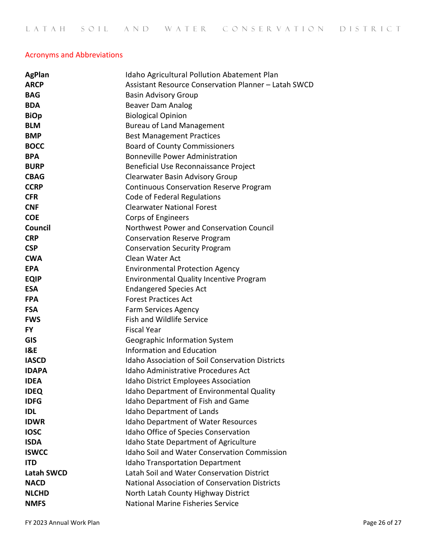# Acronyms and Abbreviations

| <b>AgPlan</b>     | <b>Idaho Agricultural Pollution Abatement Plan</b>      |
|-------------------|---------------------------------------------------------|
| <b>ARCP</b>       | Assistant Resource Conservation Planner - Latah SWCD    |
| <b>BAG</b>        | <b>Basin Advisory Group</b>                             |
| <b>BDA</b>        | <b>Beaver Dam Analog</b>                                |
| <b>BiOp</b>       | <b>Biological Opinion</b>                               |
| <b>BLM</b>        | <b>Bureau of Land Management</b>                        |
| <b>BMP</b>        | <b>Best Management Practices</b>                        |
| <b>BOCC</b>       | <b>Board of County Commissioners</b>                    |
| <b>BPA</b>        | <b>Bonneville Power Administration</b>                  |
| <b>BURP</b>       | Beneficial Use Reconnaissance Project                   |
| <b>CBAG</b>       | Clearwater Basin Advisory Group                         |
| <b>CCRP</b>       | <b>Continuous Conservation Reserve Program</b>          |
| <b>CFR</b>        | Code of Federal Regulations                             |
| <b>CNF</b>        | <b>Clearwater National Forest</b>                       |
| <b>COE</b>        | <b>Corps of Engineers</b>                               |
| Council           | Northwest Power and Conservation Council                |
| <b>CRP</b>        | <b>Conservation Reserve Program</b>                     |
| <b>CSP</b>        | <b>Conservation Security Program</b>                    |
| <b>CWA</b>        | Clean Water Act                                         |
| <b>EPA</b>        | <b>Environmental Protection Agency</b>                  |
| <b>EQIP</b>       | <b>Environmental Quality Incentive Program</b>          |
| <b>ESA</b>        | <b>Endangered Species Act</b>                           |
| <b>FPA</b>        | <b>Forest Practices Act</b>                             |
| <b>FSA</b>        | <b>Farm Services Agency</b>                             |
| <b>FWS</b>        | Fish and Wildlife Service                               |
| <b>FY</b>         | <b>Fiscal Year</b>                                      |
| <b>GIS</b>        | Geographic Information System                           |
| <b>I&amp;E</b>    | <b>Information and Education</b>                        |
| <b>IASCD</b>      | <b>Idaho Association of Soil Conservation Districts</b> |
| <b>IDAPA</b>      | <b>Idaho Administrative Procedures Act</b>              |
| <b>IDEA</b>       | <b>Idaho District Employees Association</b>             |
| <b>IDEQ</b>       | Idaho Department of Environmental Quality               |
| <b>IDFG</b>       | Idaho Department of Fish and Game                       |
| <b>IDL</b>        | Idaho Department of Lands                               |
| <b>IDWR</b>       | Idaho Department of Water Resources                     |
| <b>IOSC</b>       | Idaho Office of Species Conservation                    |
| <b>ISDA</b>       | <b>Idaho State Department of Agriculture</b>            |
| <b>ISWCC</b>      | <b>Idaho Soil and Water Conservation Commission</b>     |
| <b>ITD</b>        | <b>Idaho Transportation Department</b>                  |
| <b>Latah SWCD</b> | Latah Soil and Water Conservation District              |
| <b>NACD</b>       | National Association of Conservation Districts          |
| <b>NLCHD</b>      | North Latah County Highway District                     |
| <b>NMFS</b>       | <b>National Marine Fisheries Service</b>                |

FY 2023 Annual Work Plan **Page 26 of 27**